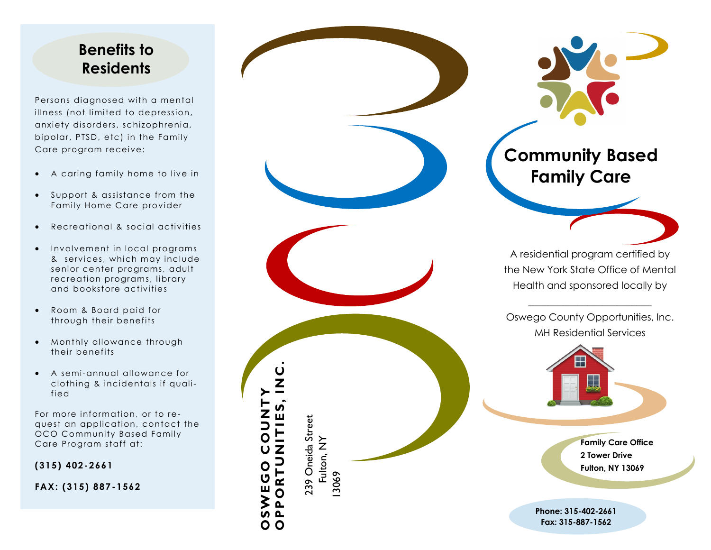### **Benefits to Residents**

Persons diagnosed with a mental illness (not limited to depression, anxiety disorders, schizophrenia, bipolar, PTSD, etc) in the Family Care program receive:

- A caring family home to live in
- Support & assistance from the Family Home Care provider
- Recreational & social activities
- Involvement in local programs & services, which may include senior center programs, adult recreation programs, library and bookstore activities
- Room & Board paid for through their benefits
- Monthly allowance through their benefits
- A semi -annual allowance for clothing & incidentals if qualified

For more information, or to request an application, contact the OCO Community Based Family Care Program staff at:

**(315) 402 -2661**

**FAX: (315) 887 -1562**

239 Oneida Street 239 Oneida Street<br>Fulton, NY 13069 **OPPORTUNITIES, INC .** 

**OSWEGO COUNTY** 

 $\mathbf O$ O

**NUOU** 



Oswego County Opportunities, Inc. MH Residential Services



**Family Care Office 2 Tower Drive Fulton, NY 13069**

**Phone:** 315 **-402 -2661 Fax: 315 -887 -1562**